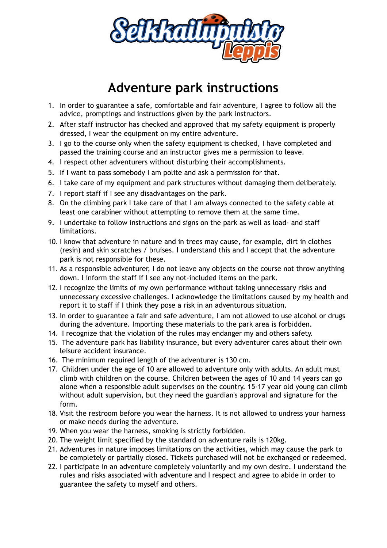

## **Adventure park instructions**

- 1. In order to guarantee a safe, comfortable and fair adventure, I agree to follow all the advice, promptings and instructions given by the park instructors.
- 2. After staff instructor has checked and approved that my safety equipment is properly dressed, I wear the equipment on my entire adventure.
- 3. I go to the course only when the safety equipment is checked, I have completed and passed the training course and an instructor gives me a permission to leave.
- 4. I respect other adventurers without disturbing their accomplishments.
- 5. If I want to pass somebody I am polite and ask a permission for that.
- 6. I take care of my equipment and park structures without damaging them deliberately.
- 7. I report staff if I see any disadvantages on the park.
- 8. On the climbing park I take care of that I am always connected to the safety cable at least one carabiner without attempting to remove them at the same time.
- 9. I undertake to follow instructions and signs on the park as well as load- and staff limitations.
- 10. I know that adventure in nature and in trees may cause, for example, dirt in clothes (resin) and skin scratches / bruises. I understand this and I accept that the adventure park is not responsible for these.
- 11. As a responsible adventurer, I do not leave any objects on the course not throw anything down. I inform the staff if I see any not-included items on the park.
- 12. I recognize the limits of my own performance without taking unnecessary risks and unnecessary excessive challenges. I acknowledge the limitations caused by my health and report it to staff if I think they pose a risk in an adventurous situation.
- 13. In order to guarantee a fair and safe adventure, I am not allowed to use alcohol or drugs during the adventure. Importing these materials to the park area is forbidden.
- 14. I recognize that the violation of the rules may endanger my and others safety.
- 15. The adventure park has liability insurance, but every adventurer cares about their own leisure accident insurance.
- 16. The minimum required length of the adventurer is 130 cm.
- 17. Children under the age of 10 are allowed to adventure only with adults. An adult must climb with children on the course. Children between the ages of 10 and 14 years can go alone when a responsible adult supervises on the country. 15-17 year old young can climb without adult supervision, but they need the guardian's approval and signature for the form.
- 18. Visit the restroom before you wear the harness. It is not allowed to undress your harness or make needs during the adventure.
- 19. When you wear the harness, smoking is strictly forbidden.
- 20. The weight limit specified by the standard on adventure rails is 120kg.
- 21. Adventures in nature imposes limitations on the activities, which may cause the park to be completely or partially closed. Tickets purchased will not be exchanged or redeemed.
- 22. I participate in an adventure completely voluntarily and my own desire. I understand the rules and risks associated with adventure and I respect and agree to abide in order to guarantee the safety to myself and others.